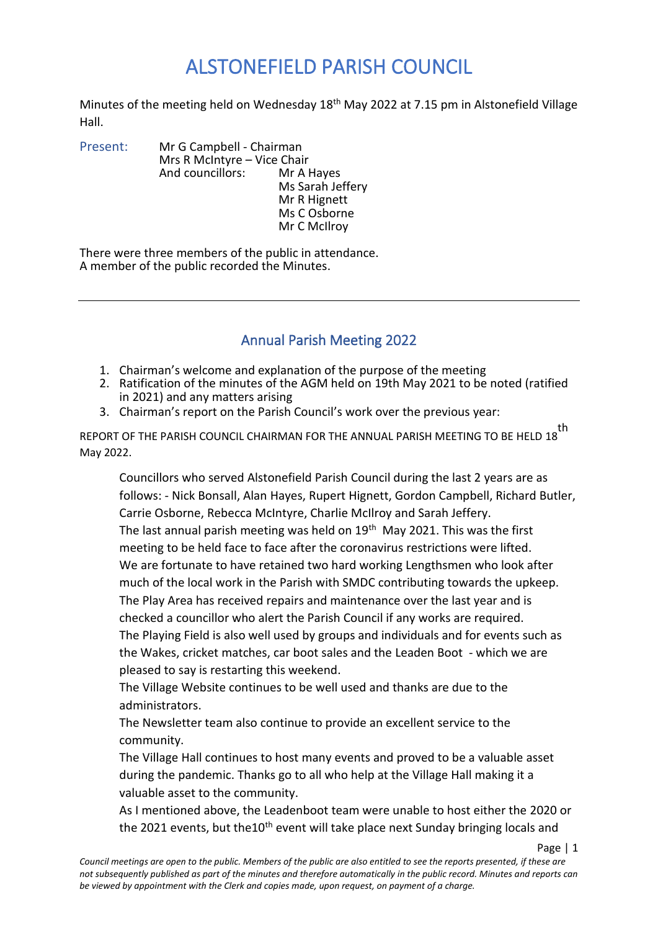Minutes of the meeting held on Wednesday 18<sup>th</sup> May 2022 at 7.15 pm in Alstonefield Village Hall.

Present: Mr G Campbell - Chairman Mrs R McIntyre – Vice Chair<br>And councillors: Mr A Hayes And councillors: Ms Sarah Jeffery Mr R Hignett Ms C Osborne Mr C McIlroy

There were three members of the public in attendance. A member of the public recorded the Minutes.

#### Annual Parish Meeting 2022

- 1. Chairman's welcome and explanation of the purpose of the meeting
- 2. Ratification of the minutes of the AGM held on 19th May 2021 to be noted (ratified in 2021) and any matters arising
- 3. Chairman's report on the Parish Council's work over the previous year:

REPORT OF THE PARISH COUNCIL CHAIRMAN FOR THE ANNUAL PARISH MEETING TO BE HELD 18 th May 2022.

Councillors who served Alstonefield Parish Council during the last 2 years are as follows: - Nick Bonsall, Alan Hayes, Rupert Hignett, Gordon Campbell, Richard Butler, Carrie Osborne, Rebecca McIntyre, Charlie McIlroy and Sarah Jeffery. The last annual parish meeting was held on  $19<sup>th</sup>$  May 2021. This was the first meeting to be held face to face after the coronavirus restrictions were lifted. We are fortunate to have retained two hard working Lengthsmen who look after much of the local work in the Parish with SMDC contributing towards the upkeep. The Play Area has received repairs and maintenance over the last year and is checked a councillor who alert the Parish Council if any works are required. The Playing Field is also well used by groups and individuals and for events such as the Wakes, cricket matches, car boot sales and the Leaden Boot - which we are pleased to say is restarting this weekend.

The Village Website continues to be well used and thanks are due to the administrators.

The Newsletter team also continue to provide an excellent service to the community.

The Village Hall continues to host many events and proved to be a valuable asset during the pandemic. Thanks go to all who help at the Village Hall making it a valuable asset to the community.

As I mentioned above, the Leadenboot team were unable to host either the 2020 or the 2021 events, but the10<sup>th</sup> event will take place next Sunday bringing locals and

Page | 1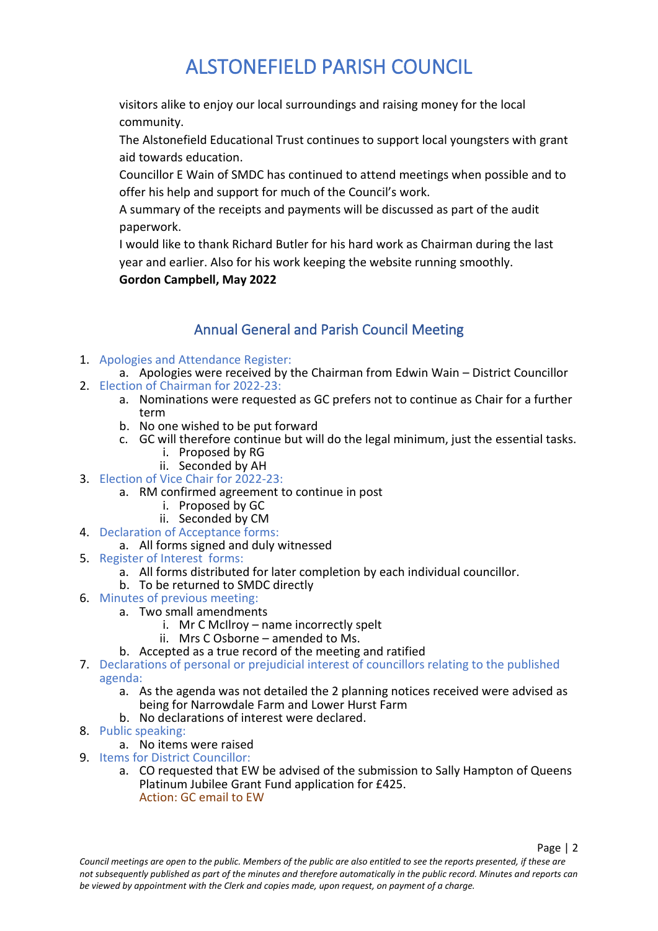visitors alike to enjoy our local surroundings and raising money for the local community.

The Alstonefield Educational Trust continues to support local youngsters with grant aid towards education.

Councillor E Wain of SMDC has continued to attend meetings when possible and to offer his help and support for much of the Council's work.

A summary of the receipts and payments will be discussed as part of the audit paperwork.

I would like to thank Richard Butler for his hard work as Chairman during the last year and earlier. Also for his work keeping the website running smoothly.

**Gordon Campbell, May 2022**

### Annual General and Parish Council Meeting

#### 1. Apologies and Attendance Register:

- a. Apologies were received by the Chairman from Edwin Wain District Councillor 2. Election of Chairman for 2022-23:
- - a. Nominations were requested as GC prefers not to continue as Chair for a further term
		- b. No one wished to be put forward
		- c. GC will therefore continue but will do the legal minimum, just the essential tasks.
			- i. Proposed by RG
			- ii. Seconded by AH
- 3. Election of Vice Chair for 2022-23:
	- a. RM confirmed agreement to continue in post
		- i. Proposed by GC
		- ii. Seconded by CM
- 4. Declaration of Acceptance forms:
	- a. All forms signed and duly witnessed
- 5. Register of Interest forms:
	- a. All forms distributed for later completion by each individual councillor.
	- b. To be returned to SMDC directly
- 6. Minutes of previous meeting:
	- a. Two small amendments
		- i. Mr C McIlroy name incorrectly spelt
		- ii. Mrs C Osborne amended to Ms.
		- b. Accepted as a true record of the meeting and ratified
- 7. Declarations of personal or prejudicial interest of councillors relating to the published agenda:
	- a. As the agenda was not detailed the 2 planning notices received were advised as being for Narrowdale Farm and Lower Hurst Farm
	- b. No declarations of interest were declared.
- 8. Public speaking:
	- a. No items were raised
- 9. Items for District Councillor:
	- a. CO requested that EW be advised of the submission to Sally Hampton of Queens Platinum Jubilee Grant Fund application for £425. Action: GC email to EW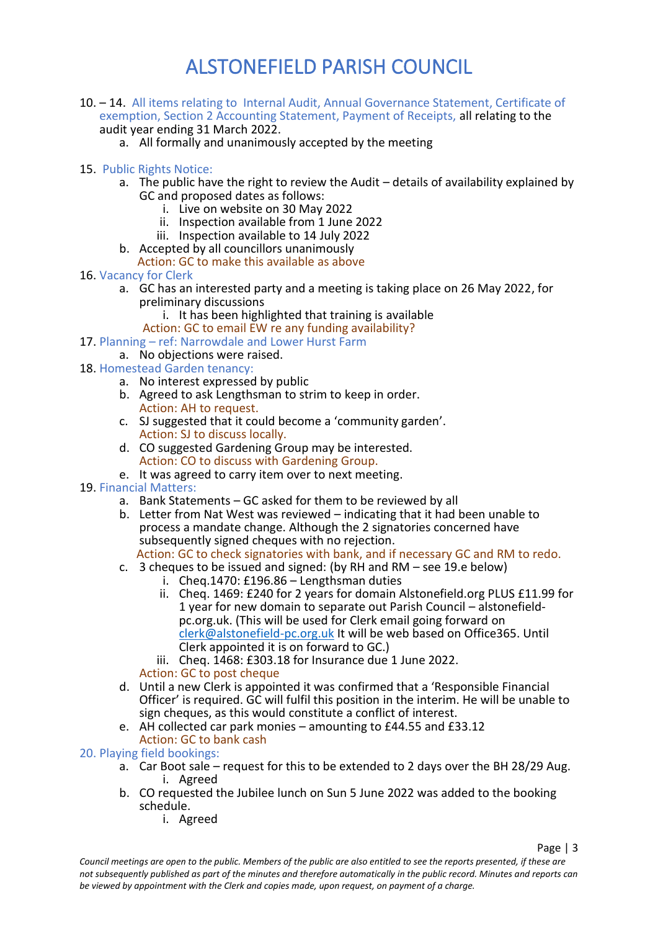- 10. 14. All items relating to Internal Audit, Annual Governance Statement, Certificate of exemption, Section 2 Accounting Statement, Payment of Receipts, all relating to the audit year ending 31 March 2022.
	- a. All formally and unanimously accepted by the meeting
- 15. Public Rights Notice:
	- a. The public have the right to review the Audit details of availability explained by GC and proposed dates as follows:
		- i. Live on website on 30 May 2022
		- ii. Inspection available from 1 June 2022
		- iii. Inspection available to 14 July 2022
	- b. Accepted by all councillors unanimously
		- Action: GC to make this available as above
- 16. Vacancy for Clerk
	- a. GC has an interested party and a meeting is taking place on 26 May 2022, for preliminary discussions
		- i. It has been highlighted that training is available
	- Action: GC to email EW re any funding availability?
- 17. Planning ref: Narrowdale and Lower Hurst Farm
	- a. No objections were raised.
- 18. Homestead Garden tenancy:
	- a. No interest expressed by public
	- b. Agreed to ask Lengthsman to strim to keep in order. Action: AH to request.
	- c. SJ suggested that it could become a 'community garden'. Action: SJ to discuss locally.
	- d. CO suggested Gardening Group may be interested. Action: CO to discuss with Gardening Group.
	- e. It was agreed to carry item over to next meeting.
- 19. Financial Matters:
	- a. Bank Statements GC asked for them to be reviewed by all
	- b. Letter from Nat West was reviewed indicating that it had been unable to process a mandate change. Although the 2 signatories concerned have subsequently signed cheques with no rejection.
	- Action: GC to check signatories with bank, and if necessary GC and RM to redo.
	- c. 3 cheques to be issued and signed: (by RH and RM see 19.e below)
		- i. Cheq.1470: £196.86 Lengthsman duties
		- ii. Cheq. 1469: £240 for 2 years for domain Alstonefield.org PLUS £11.99 for 1 year for new domain to separate out Parish Council – alstonefieldpc.org.uk. (This will be used for Clerk email going forward on [clerk@alstonefield-pc.org.uk](mailto:clerk@alstonefield-pc.org.uk) It will be web based on Office365. Until Clerk appointed it is on forward to GC.)
		- iii. Cheq.  $1468$ : £303.18 for Insurance due 1 June 2022.

Action: GC to post cheque

- d. Until a new Clerk is appointed it was confirmed that a 'Responsible Financial Officer' is required. GC will fulfil this position in the interim. He will be unable to sign cheques, as this would constitute a conflict of interest.
- e. AH collected car park monies amounting to £44.55 and £33.12 Action: GC to bank cash

20. Playing field bookings:

- $a^2$ . Car Boot sale request for this to be extended to 2 days over the BH 28/29 Aug. i. Agreed
- b. CO requested the Jubilee lunch on Sun 5 June 2022 was added to the booking schedule.
	- i. Agreed